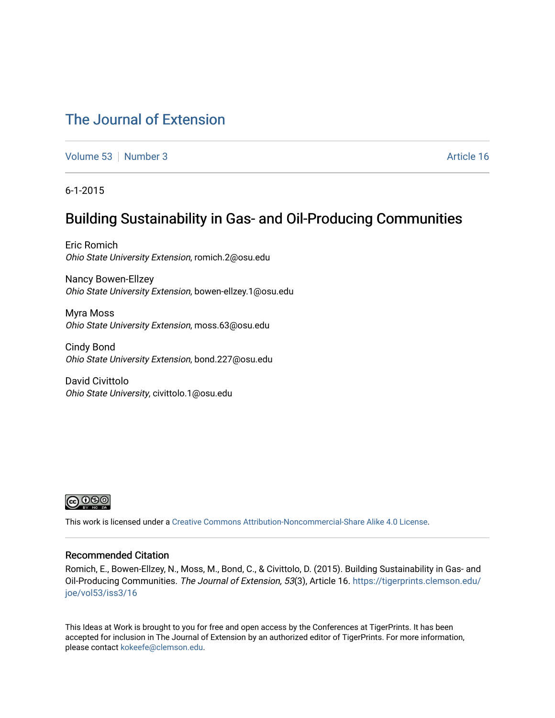### [The Journal of Extension](https://tigerprints.clemson.edu/joe)

[Volume 53](https://tigerprints.clemson.edu/joe/vol53) [Number 3](https://tigerprints.clemson.edu/joe/vol53/iss3) Article 16

6-1-2015

## Building Sustainability in Gas- and Oil-Producing Communities

Eric Romich Ohio State University Extension, romich.2@osu.edu

Nancy Bowen-Ellzey Ohio State University Extension, bowen-ellzey.1@osu.edu

Myra Moss Ohio State University Extension, moss.63@osu.edu

Cindy Bond Ohio State University Extension, bond.227@osu.edu

David Civittolo Ohio State University, civittolo.1@osu.edu



This work is licensed under a [Creative Commons Attribution-Noncommercial-Share Alike 4.0 License.](https://creativecommons.org/licenses/by-nc-sa/4.0/)

#### Recommended Citation

Romich, E., Bowen-Ellzey, N., Moss, M., Bond, C., & Civittolo, D. (2015). Building Sustainability in Gas- and Oil-Producing Communities. The Journal of Extension, 53(3), Article 16. [https://tigerprints.clemson.edu/](https://tigerprints.clemson.edu/joe/vol53/iss3/16) [joe/vol53/iss3/16](https://tigerprints.clemson.edu/joe/vol53/iss3/16)

This Ideas at Work is brought to you for free and open access by the Conferences at TigerPrints. It has been accepted for inclusion in The Journal of Extension by an authorized editor of TigerPrints. For more information, please contact [kokeefe@clemson.edu](mailto:kokeefe@clemson.edu).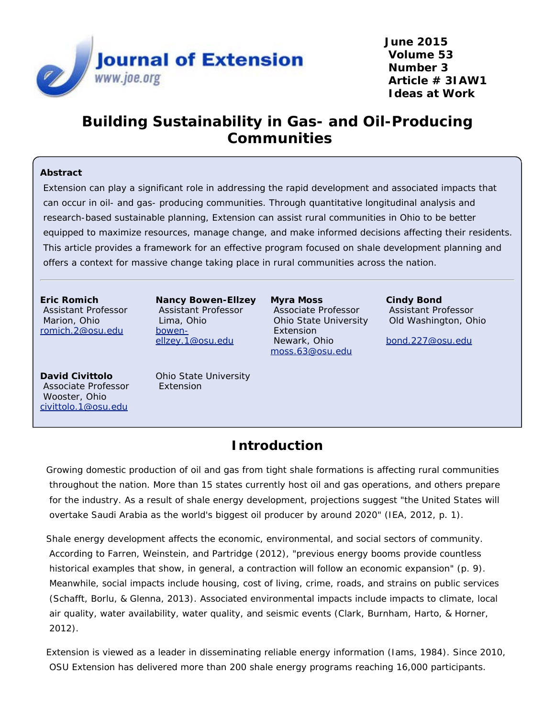

**June 2015 Volume 53 Number 3 Article # 3IAW1 Ideas at Work**

## **Building Sustainability in Gas- and Oil-Producing Communities**

#### **Abstract**

Extension can play a significant role in addressing the rapid development and associated impacts that can occur in oil- and gas- producing communities. Through quantitative longitudinal analysis and research-based sustainable planning, Extension can assist rural communities in Ohio to be better equipped to maximize resources, manage change, and make informed decisions affecting their residents. This article provides a framework for an effective program focused on shale development planning and offers a context for massive change taking place in rural communities across the nation.

**Eric Romich** Assistant Professor Marion, Ohio [romich.2@osu.edu](mailto:romich.2@osu.edu)

**Nancy Bowen-Ellzey** Assistant Professor Lima, Ohio [bowen](mailto:bowen-ellzey.1@osu.edu)[ellzey.1@osu.edu](mailto:bowen-ellzey.1@osu.edu)

**Myra Moss** Associate Professor Ohio State University Extension Newark, Ohio [moss.63@osu.edu](mailto:moss.63@osu.edu)

**Cindy Bond** Assistant Professor Old Washington, Ohio

[bond.227@osu.edu](mailto:bond.227@osu.edu)

**David Civittolo** Associate Professor Wooster, Ohio [civittolo.1@osu.edu](mailto:civittolo.1@osu.edu)

Ohio State University Extension

## **Introduction**

Growing domestic production of oil and gas from tight shale formations is affecting rural communities throughout the nation. More than 15 states currently host oil and gas operations, and others prepare for the industry. As a result of shale energy development, projections suggest "the United States will overtake Saudi Arabia as the world's biggest oil producer by around 2020" (IEA, 2012, p. 1).

Shale energy development affects the economic, environmental, and social sectors of community. According to Farren, Weinstein, and Partridge (2012), "previous energy booms provide countless historical examples that show, in general, a contraction will follow an economic expansion" (p. 9). Meanwhile, social impacts include housing, cost of living, crime, roads, and strains on public services (Schafft, Borlu, & Glenna, 2013). Associated environmental impacts include impacts to climate, local air quality, water availability, water quality, and seismic events (Clark, Burnham, Harto, & Horner, 2012).

Extension is viewed as a leader in disseminating reliable energy information (Iams, 1984). Since 2010, OSU Extension has delivered more than 200 shale energy programs reaching 16,000 participants.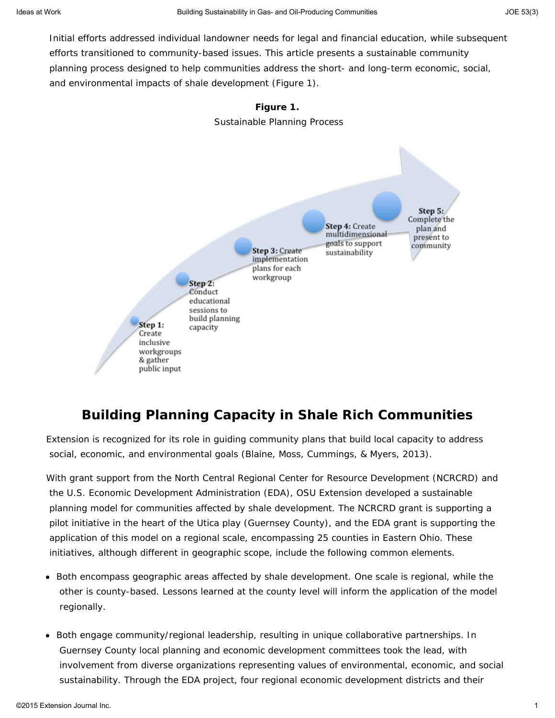Initial efforts addressed individual landowner needs for legal and financial education, while subsequent efforts transitioned to community-based issues. This article presents a sustainable community planning process designed to help communities address the short- and long-term economic, social, and environmental impacts of shale development (Figure 1).



## **Building Planning Capacity in Shale Rich Communities**

Extension is recognized for its role in guiding community plans that build local capacity to address social, economic, and environmental goals (Blaine, Moss, Cummings, & Myers, 2013).

With grant support from the North Central Regional Center for Resource Development (NCRCRD) and the U.S. Economic Development Administration (EDA), OSU Extension developed a sustainable planning model for communities affected by shale development. The NCRCRD grant is supporting a pilot initiative in the heart of the Utica play (Guernsey County), and the EDA grant is supporting the application of this model on a regional scale, encompassing 25 counties in Eastern Ohio. These initiatives, although different in geographic scope, include the following common elements.

- Both encompass geographic areas affected by shale development. One scale is regional, while the other is county-based. Lessons learned at the county level will inform the application of the model regionally.
- Both engage community/regional leadership, resulting in unique collaborative partnerships. In Guernsey County local planning and economic development committees took the lead, with involvement from diverse organizations representing values of environmental, economic, and social sustainability. Through the EDA project, four regional economic development districts and their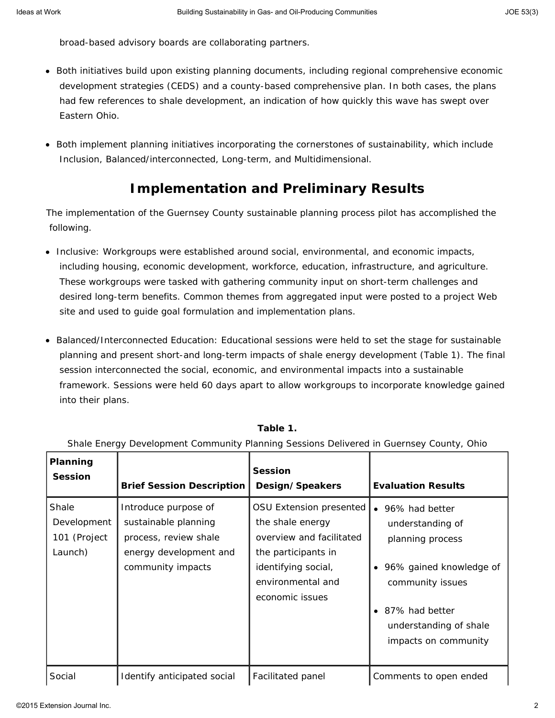broad-based advisory boards are collaborating partners.

- Both initiatives build upon existing planning documents, including regional comprehensive economic development strategies (CEDS) and a county-based comprehensive plan. In both cases, the plans had few references to shale development, an indication of how quickly this wave has swept over Eastern Ohio.
- Both implement planning initiatives incorporating the cornerstones of sustainability, which include Inclusion, Balanced/interconnected, Long-term, and Multidimensional.

# **Implementation and Preliminary Results**

The implementation of the Guernsey County sustainable planning process pilot has accomplished the following.

- Inclusive: Workgroups were established around social, environmental, and economic impacts, including housing, economic development, workforce, education, infrastructure, and agriculture. These workgroups were tasked with gathering community input on short-term challenges and desired long-term benefits. Common themes from aggregated input were posted to a project Web site and used to guide goal formulation and implementation plans.
- Balanced/Interconnected Education: Educational sessions were held to set the stage for sustainable planning and present short-and long-term impacts of shale energy development (Table 1). The final session interconnected the social, economic, and environmental impacts into a sustainable framework. Sessions were held 60 days apart to allow workgroups to incorporate knowledge gained into their plans.

| Planning<br><b>Session</b>                      | <b>Brief Session Description</b>                                                                                     | <b>Session</b><br>Design/Speakers                                                                                                                             | <b>Evaluation Results</b>                                                                                                                                                                  |
|-------------------------------------------------|----------------------------------------------------------------------------------------------------------------------|---------------------------------------------------------------------------------------------------------------------------------------------------------------|--------------------------------------------------------------------------------------------------------------------------------------------------------------------------------------------|
| Shale<br>Development<br>101 (Project<br>Launch) | Introduce purpose of<br>sustainable planning<br>process, review shale<br>energy development and<br>community impacts | OSU Extension presented<br>the shale energy<br>overview and facilitated<br>the participants in<br>identifying social,<br>environmental and<br>economic issues | • 96% had better<br>understanding of<br>planning process<br>• 96% gained knowledge of<br>community issues<br>87% had better<br>$\bullet$<br>understanding of shale<br>impacts on community |
| Social                                          | Identify anticipated social                                                                                          | Facilitated panel                                                                                                                                             | Comments to open ended                                                                                                                                                                     |

#### **Table 1.**

#### Shale Energy Development Community Planning Sessions Delivered in Guernsey County, Ohio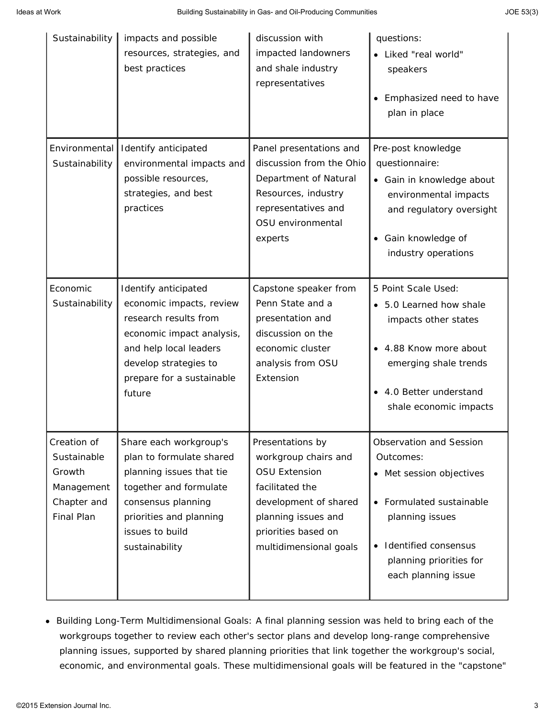| Sustainability                                                                  | impacts and possible<br>resources, strategies, and<br>best practices                                                                                                                             | discussion with<br>impacted landowners<br>and shale industry<br>representatives                                                                                                      | questions:<br>• Liked "real world"<br>speakers<br>Emphasized need to have<br>plan in place                                                                                            |
|---------------------------------------------------------------------------------|--------------------------------------------------------------------------------------------------------------------------------------------------------------------------------------------------|--------------------------------------------------------------------------------------------------------------------------------------------------------------------------------------|---------------------------------------------------------------------------------------------------------------------------------------------------------------------------------------|
| Environmental<br>Sustainability                                                 | Identify anticipated<br>environmental impacts and<br>possible resources,<br>strategies, and best<br>practices                                                                                    | Panel presentations and<br>discussion from the Ohio<br>Department of Natural<br>Resources, industry<br>representatives and<br>OSU environmental<br>experts                           | Pre-post knowledge<br>questionnaire:<br>• Gain in knowledge about<br>environmental impacts<br>and regulatory oversight<br>Gain knowledge of<br>industry operations                    |
| Economic<br>Sustainability                                                      | Identify anticipated<br>economic impacts, review<br>research results from<br>economic impact analysis,<br>and help local leaders<br>develop strategies to<br>prepare for a sustainable<br>future | Capstone speaker from<br>Penn State and a<br>presentation and<br>discussion on the<br>economic cluster<br>analysis from OSU<br>Extension                                             | 5 Point Scale Used:<br>5.0 Learned how shale<br>$\bullet$<br>impacts other states<br>4.88 Know more about<br>emerging shale trends<br>4.0 Better understand<br>shale economic impacts |
| Creation of<br>Sustainable<br>Growth<br>Management<br>Chapter and<br>Final Plan | Share each workgroup's<br>plan to formulate shared<br>planning issues that tie<br>together and formulate<br>consensus planning<br>priorities and planning<br>issues to build<br>sustainability   | Presentations by<br>workgroup chairs and<br><b>OSU Extension</b><br>facilitated the<br>development of shared<br>planning issues and<br>priorities based on<br>multidimensional goals | Observation and Session<br>Outcomes:<br>Met session objectives<br>Formulated sustainable<br>planning issues<br>Identified consensus<br>planning priorities for<br>each planning issue |

Building Long-Term Multidimensional Goals: A final planning session was held to bring each of the workgroups together to review each other's sector plans and develop long-range comprehensive planning issues, supported by shared planning priorities that link together the workgroup's social, economic, and environmental goals. These multidimensional goals will be featured in the "capstone"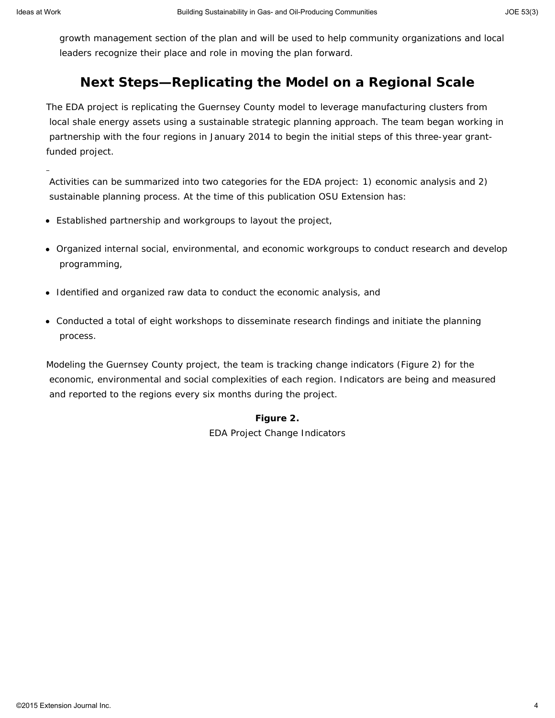growth management section of the plan and will be used to help community organizations and local leaders recognize their place and role in moving the plan forward.

### **Next Steps—Replicating the Model on a Regional Scale**

The EDA project is replicating the Guernsey County model to leverage manufacturing clusters from local shale energy assets using a sustainable strategic planning approach. The team began working in partnership with the four regions in January 2014 to begin the initial steps of this three-year grantfunded project.

Activities can be summarized into two categories for the EDA project: 1) economic analysis and 2) sustainable planning process. At the time of this publication OSU Extension has:

- Established partnership and workgroups to layout the project,
- Organized internal social, environmental, and economic workgroups to conduct research and develop programming,
- Identified and organized raw data to conduct the economic analysis, and
- Conducted a total of eight workshops to disseminate research findings and initiate the planning process.

Modeling the Guernsey County project, the team is tracking change indicators (Figure 2) for the economic, environmental and social complexities of each region. Indicators are being and measured and reported to the regions every six months during the project.

#### **Figure 2.**

EDA Project Change Indicators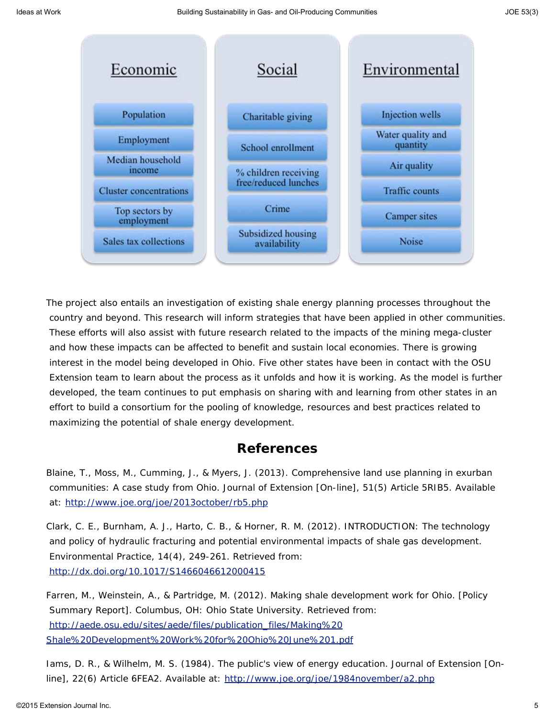

The project also entails an investigation of existing shale energy planning processes throughout the country and beyond. This research will inform strategies that have been applied in other communities. These efforts will also assist with future research related to the impacts of the mining mega-cluster and how these impacts can be affected to benefit and sustain local economies. There is growing interest in the model being developed in Ohio. Five other states have been in contact with the OSU Extension team to learn about the process as it unfolds and how it is working. As the model is further developed, the team continues to put emphasis on sharing with and learning from other states in an effort to build a consortium for the pooling of knowledge, resources and best practices related to maximizing the potential of shale energy development.

#### **References**

Blaine, T., Moss, M., Cumming, J., & Myers, J. (2013). Comprehensive land use planning in exurban communities: A case study from Ohio. *Journal of Extension* [On-line], 51(5) Article 5RIB5. Available at:<http://www.joe.org/joe/2013october/rb5.php>

Clark, C. E., Burnham, A. J., Harto, C. B., & Horner, R. M. (2012). INTRODUCTION: The technology and policy of hydraulic fracturing and potential environmental impacts of shale gas development. *Environmental Practice,* 14(4), 249-261. Retrieved from: <http://dx.doi.org/10.1017/S1466046612000415>

Farren, M., Weinstein, A., & Partridge, M. (2012). *Making shale development work for Ohio.* [Policy Summary Report]. Columbus, OH: Ohio State University. Retrieved from: [http://aede.osu.edu/sites/aede/files/publication\\_files/Making%20](http://aede.osu.edu/sites/aede/files/publication_files/Making%20Shale%20Development%20Work%20for%20Ohio%20June%201.pdf) [Shale%20Development%20Work%20for%20Ohio%20June%201.pdf](http://aede.osu.edu/sites/aede/files/publication_files/Making%20Shale%20Development%20Work%20for%20Ohio%20June%201.pdf)

Iams, D. R., & Wilhelm, M. S. (1984). The public's view of energy education. *Journal of Extension* [Online], 22(6) Article 6FEA2. Available at: <http://www.joe.org/joe/1984november/a2.php>